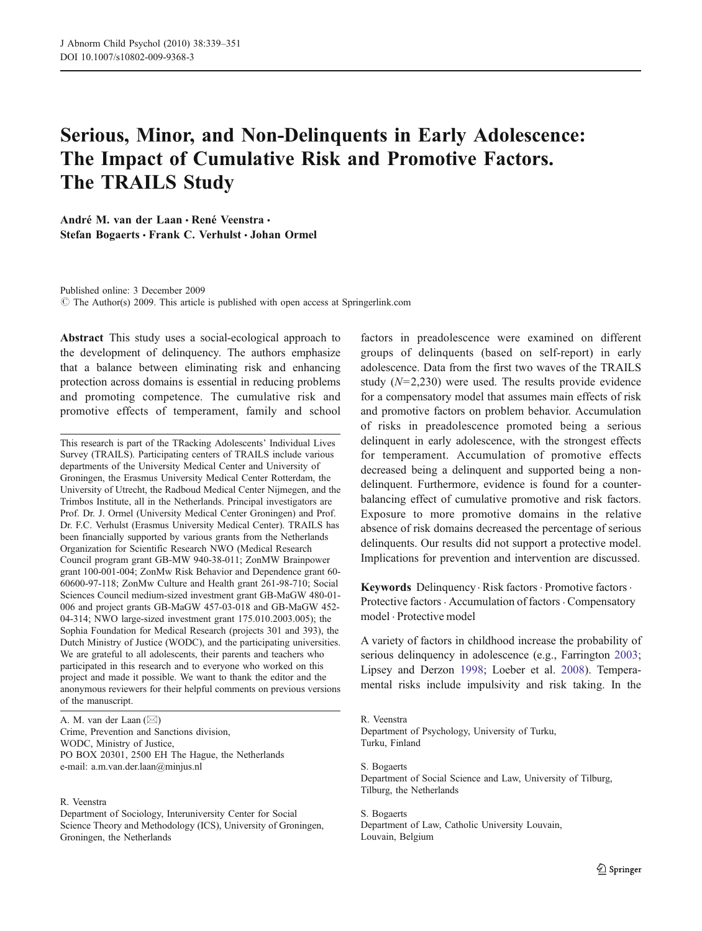# Serious, Minor, and Non-Delinquents in Early Adolescence: The Impact of Cumulative Risk and Promotive Factors. The TRAILS Study

André M. van der Laan · René Veenstra · Stefan Bogaerts · Frank C. Verhulst · Johan Ormel

Published online: 3 December 2009  $\circ$  The Author(s) 2009. This article is published with open access at Springerlink.com

Abstract This study uses a social-ecological approach to the development of delinquency. The authors emphasize that a balance between eliminating risk and enhancing protection across domains is essential in reducing problems and promoting competence. The cumulative risk and promotive effects of temperament, family and school

This research is part of the TRacking Adolescents' Individual Lives Survey (TRAILS). Participating centers of TRAILS include various departments of the University Medical Center and University of Groningen, the Erasmus University Medical Center Rotterdam, the University of Utrecht, the Radboud Medical Center Nijmegen, and the Trimbos Institute, all in the Netherlands. Principal investigators are Prof. Dr. J. Ormel (University Medical Center Groningen) and Prof. Dr. F.C. Verhulst (Erasmus University Medical Center). TRAILS has been financially supported by various grants from the Netherlands Organization for Scientific Research NWO (Medical Research Council program grant GB-MW 940-38-011; ZonMW Brainpower grant 100-001-004; ZonMw Risk Behavior and Dependence grant 60- 60600-97-118; ZonMw Culture and Health grant 261-98-710; Social Sciences Council medium-sized investment grant GB-MaGW 480-01- 006 and project grants GB-MaGW 457-03-018 and GB-MaGW 452- 04-314; NWO large-sized investment grant 175.010.2003.005); the Sophia Foundation for Medical Research (projects 301 and 393), the Dutch Ministry of Justice (WODC), and the participating universities. We are grateful to all adolescents, their parents and teachers who participated in this research and to everyone who worked on this project and made it possible. We want to thank the editor and the anonymous reviewers for their helpful comments on previous versions of the manuscript.

A. M. van der Laan ( $\boxtimes$ ) Crime, Prevention and Sanctions division, WODC, Ministry of Justice, PO BOX 20301, 2500 EH The Hague, the Netherlands e-mail: a.m.van.der.laan@minjus.nl

### R. Veenstra

Department of Sociology, Interuniversity Center for Social Science Theory and Methodology (ICS), University of Groningen, Groningen, the Netherlands

factors in preadolescence were examined on different groups of delinquents (based on self-report) in early adolescence. Data from the first two waves of the TRAILS study  $(N=2,230)$  were used. The results provide evidence for a compensatory model that assumes main effects of risk and promotive factors on problem behavior. Accumulation of risks in preadolescence promoted being a serious delinquent in early adolescence, with the strongest effects for temperament. Accumulation of promotive effects decreased being a delinquent and supported being a nondelinquent. Furthermore, evidence is found for a counterbalancing effect of cumulative promotive and risk factors. Exposure to more promotive domains in the relative absence of risk domains decreased the percentage of serious delinquents. Our results did not support a protective model. Implications for prevention and intervention are discussed.

Keywords Delinquency · Risk factors · Promotive factors · Protective factors  $\cdot$  Accumulation of factors  $\cdot$  Compensatory model . Protective model

A variety of factors in childhood increase the probability of serious delinquency in adolescence (e.g., Farrington [2003;](#page-11-0) Lipsey and Derzon [1998](#page-11-0); Loeber et al. [2008](#page-11-0)). Temperamental risks include impulsivity and risk taking. In the

R. Veenstra Department of Psychology, University of Turku, Turku, Finland

S. Bogaerts Department of Social Science and Law, University of Tilburg, Tilburg, the Netherlands

S. Bogaerts Department of Law, Catholic University Louvain, Louvain, Belgium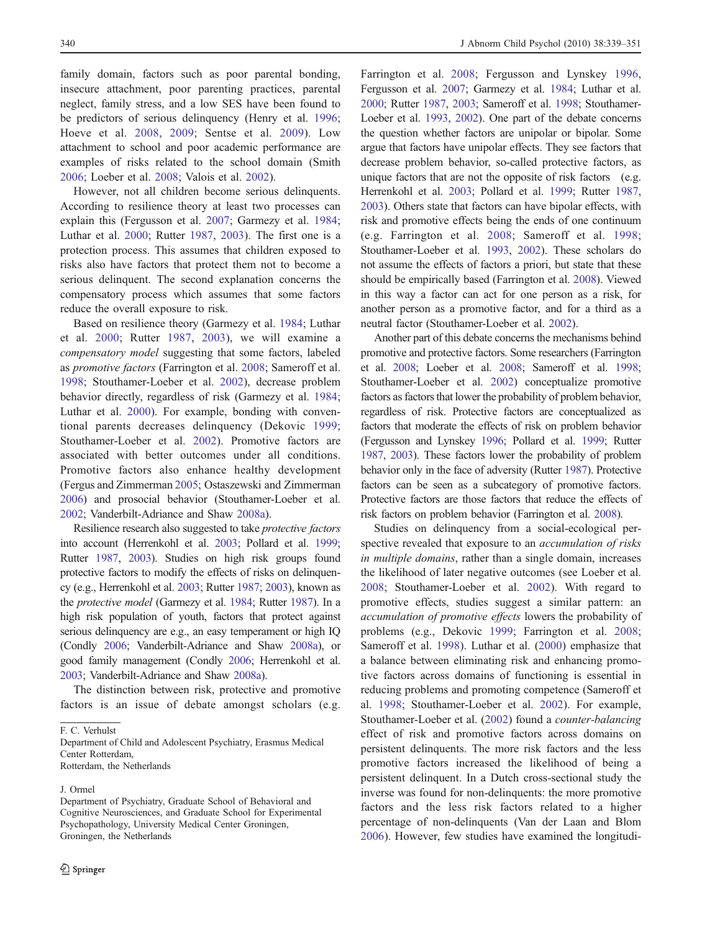family domain, factors such as poor parental bonding, insecure attachment, poor parenting practices, parental neglect, family stress, and a low SES have been found to be predictors of serious delinquency (Henry et al. [1996](#page-11-0); Hoeve et al. [2008](#page-11-0), [2009;](#page-11-0) Sentse et al. [2009](#page-11-0)). Low attachment to school and poor academic performance are examples of risks related to the school domain (Smith [2006;](#page-11-0) Loeber et al. [2008](#page-11-0); Valois et al. [2002\)](#page-12-0).

However, not all children become serious delinquents. According to resilience theory at least two processes can explain this (Fergusson et al. [2007;](#page-11-0) Garmezy et al. [1984](#page-11-0); Luthar et al. [2000;](#page-11-0) Rutter [1987,](#page-11-0) [2003](#page-11-0)). The first one is a protection process. This assumes that children exposed to risks also have factors that protect them not to become a serious delinquent. The second explanation concerns the compensatory process which assumes that some factors reduce the overall exposure to risk.

Based on resilience theory (Garmezy et al. [1984](#page-11-0); Luthar et al. [2000](#page-11-0); Rutter [1987](#page-11-0), [2003\)](#page-11-0), we will examine a compensatory model suggesting that some factors, labeled as promotive factors (Farrington et al. [2008;](#page-11-0) Sameroff et al. [1998;](#page-11-0) Stouthamer-Loeber et al. [2002\)](#page-12-0), decrease problem behavior directly, regardless of risk (Garmezy et al. [1984](#page-11-0); Luthar et al. [2000](#page-11-0)). For example, bonding with conventional parents decreases delinquency (Dekovic [1999](#page-10-0); Stouthamer-Loeber et al. [2002\)](#page-12-0). Promotive factors are associated with better outcomes under all conditions. Promotive factors also enhance healthy development (Fergus and Zimmerman [2005](#page-11-0); Ostaszewski and Zimmerman [2006\)](#page-11-0) and prosocial behavior (Stouthamer-Loeber et al. [2002;](#page-12-0) Vanderbilt-Adriance and Shaw [2008a\)](#page-12-0).

Resilience research also suggested to take protective factors into account (Herrenkohl et al. [2003;](#page-11-0) Pollard et al. [1999](#page-11-0); Rutter [1987](#page-11-0), [2003](#page-11-0)). Studies on high risk groups found protective factors to modify the effects of risks on delinquency (e.g., Herrenkohl et al. [2003;](#page-11-0) Rutter [1987](#page-11-0); [2003](#page-11-0)), known as the protective model (Garmezy et al. [1984](#page-11-0); Rutter [1987\)](#page-11-0). In a high risk population of youth, factors that protect against serious delinquency are e.g., an easy temperament or high IQ (Condly [2006;](#page-10-0) Vanderbilt-Adriance and Shaw [2008a\)](#page-12-0), or good family management (Condly [2006](#page-10-0); Herrenkohl et al. [2003](#page-11-0); Vanderbilt-Adriance and Shaw [2008a\)](#page-12-0).

The distinction between risk, protective and promotive factors is an issue of debate amongst scholars (e.g.

Farrington et al. [2008](#page-11-0); Fergusson and Lynskey [1996,](#page-11-0) Fergusson et al. [2007;](#page-11-0) Garmezy et al. [1984](#page-11-0); Luthar et al. [2000;](#page-11-0) Rutter [1987](#page-11-0), [2003;](#page-11-0) Sameroff et al. [1998;](#page-11-0) Stouthamer-Loeber et al. [1993](#page-11-0), [2002\)](#page-12-0). One part of the debate concerns the question whether factors are unipolar or bipolar. Some argue that factors have unipolar effects. They see factors that decrease problem behavior, so-called protective factors, as unique factors that are not the opposite of risk factors (e.g. Herrenkohl et al. [2003](#page-11-0); Pollard et al. [1999;](#page-11-0) Rutter [1987,](#page-11-0) [2003\)](#page-11-0). Others state that factors can have bipolar effects, with risk and promotive effects being the ends of one continuum (e.g. Farrington et al. [2008;](#page-11-0) Sameroff et al. [1998;](#page-11-0) Stouthamer-Loeber et al. [1993,](#page-11-0) [2002\)](#page-12-0). These scholars do not assume the effects of factors a priori, but state that these should be empirically based (Farrington et al. [2008](#page-11-0)). Viewed in this way a factor can act for one person as a risk, for another person as a promotive factor, and for a third as a neutral factor (Stouthamer-Loeber et al. [2002](#page-12-0)).

Another part of this debate concerns the mechanisms behind promotive and protective factors. Some researchers (Farrington et al. [2008;](#page-11-0) Loeber et al. [2008](#page-11-0); Sameroff et al. [1998;](#page-11-0) Stouthamer-Loeber et al. [2002](#page-12-0)) conceptualize promotive factors as factors that lower the probability of problem behavior, regardless of risk. Protective factors are conceptualized as factors that moderate the effects of risk on problem behavior (Fergusson and Lynskey [1996](#page-11-0); Pollard et al. [1999;](#page-11-0) Rutter [1987](#page-11-0), [2003\)](#page-11-0). These factors lower the probability of problem behavior only in the face of adversity (Rutter [1987](#page-11-0)). Protective factors can be seen as a subcategory of promotive factors. Protective factors are those factors that reduce the effects of risk factors on problem behavior (Farrington et al. [2008](#page-11-0)).

Studies on delinquency from a social-ecological perspective revealed that exposure to an accumulation of risks in multiple domains, rather than a single domain, increases the likelihood of later negative outcomes (see Loeber et al. [2008](#page-11-0); Stouthamer-Loeber et al. [2002](#page-12-0)). With regard to promotive effects, studies suggest a similar pattern: an accumulation of promotive effects lowers the probability of problems (e.g., Dekovic [1999](#page-10-0); Farrington et al. [2008;](#page-11-0) Sameroff et al. [1998](#page-11-0)). Luthar et al. [\(2000](#page-11-0)) emphasize that a balance between eliminating risk and enhancing promotive factors across domains of functioning is essential in reducing problems and promoting competence (Sameroff et al. [1998](#page-11-0); Stouthamer-Loeber et al. [2002](#page-12-0)). For example, Stouthamer-Loeber et al. ([2002](#page-12-0)) found a counter-balancing effect of risk and promotive factors across domains on persistent delinquents. The more risk factors and the less promotive factors increased the likelihood of being a persistent delinquent. In a Dutch cross-sectional study the inverse was found for non-delinquents: the more promotive factors and the less risk factors related to a higher percentage of non-delinquents (Van der Laan and Blom [2006](#page-12-0)). However, few studies have examined the longitudi-

F. C. Verhulst

Department of Child and Adolescent Psychiatry, Erasmus Medical Center Rotterdam, Rotterdam, the Netherlands

J. Ormel

Department of Psychiatry, Graduate School of Behavioral and Cognitive Neurosciences, and Graduate School for Experimental Psychopathology, University Medical Center Groningen, Groningen, the Netherlands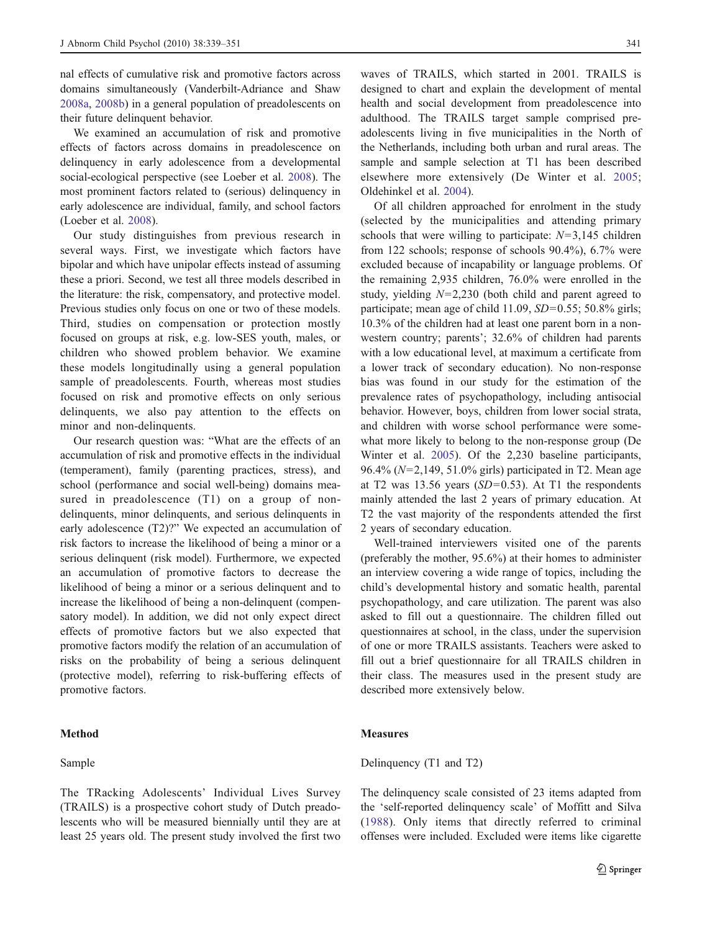nal effects of cumulative risk and promotive factors across domains simultaneously (Vanderbilt-Adriance and Shaw [2008a](#page-12-0), [2008b\)](#page-12-0) in a general population of preadolescents on their future delinquent behavior.

We examined an accumulation of risk and promotive effects of factors across domains in preadolescence on delinquency in early adolescence from a developmental social-ecological perspective (see Loeber et al. [2008](#page-11-0)). The most prominent factors related to (serious) delinquency in early adolescence are individual, family, and school factors (Loeber et al. [2008\)](#page-11-0).

Our study distinguishes from previous research in several ways. First, we investigate which factors have bipolar and which have unipolar effects instead of assuming these a priori. Second, we test all three models described in the literature: the risk, compensatory, and protective model. Previous studies only focus on one or two of these models. Third, studies on compensation or protection mostly focused on groups at risk, e.g. low-SES youth, males, or children who showed problem behavior. We examine these models longitudinally using a general population sample of preadolescents. Fourth, whereas most studies focused on risk and promotive effects on only serious delinquents, we also pay attention to the effects on minor and non-delinquents.

Our research question was: "What are the effects of an accumulation of risk and promotive effects in the individual (temperament), family (parenting practices, stress), and school (performance and social well-being) domains measured in preadolescence (T1) on a group of nondelinquents, minor delinquents, and serious delinquents in early adolescence (T2)?" We expected an accumulation of risk factors to increase the likelihood of being a minor or a serious delinquent (risk model). Furthermore, we expected an accumulation of promotive factors to decrease the likelihood of being a minor or a serious delinquent and to increase the likelihood of being a non-delinquent (compensatory model). In addition, we did not only expect direct effects of promotive factors but we also expected that promotive factors modify the relation of an accumulation of risks on the probability of being a serious delinquent (protective model), referring to risk-buffering effects of promotive factors.

## Method

## Sample

waves of TRAILS, which started in 2001. TRAILS is designed to chart and explain the development of mental health and social development from preadolescence into adulthood. The TRAILS target sample comprised preadolescents living in five municipalities in the North of the Netherlands, including both urban and rural areas. The sample and sample selection at T1 has been described elsewhere more extensively (De Winter et al. [2005;](#page-10-0) Oldehinkel et al. [2004\)](#page-11-0).

Of all children approached for enrolment in the study (selected by the municipalities and attending primary schools that were willing to participate:  $N=3,145$  children from 122 schools; response of schools 90.4%), 6.7% were excluded because of incapability or language problems. Of the remaining 2,935 children, 76.0% were enrolled in the study, yielding  $N=2,230$  (both child and parent agreed to participate; mean age of child 11.09, SD=0.55; 50.8% girls; 10.3% of the children had at least one parent born in a nonwestern country; parents'; 32.6% of children had parents with a low educational level, at maximum a certificate from a lower track of secondary education). No non-response bias was found in our study for the estimation of the prevalence rates of psychopathology, including antisocial behavior. However, boys, children from lower social strata, and children with worse school performance were somewhat more likely to belong to the non-response group (De Winter et al. [2005\)](#page-10-0). Of the 2,230 baseline participants, 96.4% ( $N=2,149, 51.0\%$  girls) participated in T2. Mean age at T2 was 13.56 years  $(SD=0.53)$ . At T1 the respondents mainly attended the last 2 years of primary education. At T2 the vast majority of the respondents attended the first 2 years of secondary education.

Well-trained interviewers visited one of the parents (preferably the mother, 95.6%) at their homes to administer an interview covering a wide range of topics, including the child's developmental history and somatic health, parental psychopathology, and care utilization. The parent was also asked to fill out a questionnaire. The children filled out questionnaires at school, in the class, under the supervision of one or more TRAILS assistants. Teachers were asked to fill out a brief questionnaire for all TRAILS children in their class. The measures used in the present study are described more extensively below.

#### Measures

## Delinquency (T1 and T2)

The TRacking Adolescents' Individual Lives Survey (TRAILS) is a prospective cohort study of Dutch preadolescents who will be measured biennially until they are at least 25 years old. The present study involved the first two The delinquency scale consisted of 23 items adapted from the 'self-reported delinquency scale' of Moffitt and Silva ([1988](#page-11-0)). Only items that directly referred to criminal offenses were included. Excluded were items like cigarette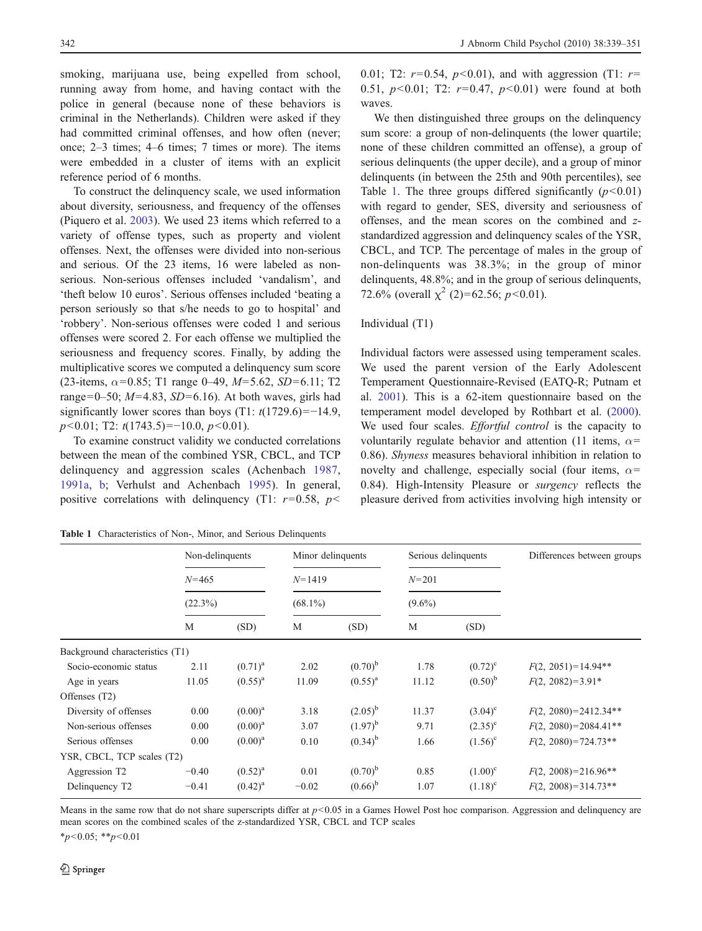smoking, marijuana use, being expelled from school, running away from home, and having contact with the police in general (because none of these behaviors is criminal in the Netherlands). Children were asked if they had committed criminal offenses, and how often (never; once; 2–3 times; 4–6 times; 7 times or more). The items were embedded in a cluster of items with an explicit reference period of 6 months.

To construct the delinquency scale, we used information about diversity, seriousness, and frequency of the offenses (Piquero et al. [2003](#page-11-0)). We used 23 items which referred to a variety of offense types, such as property and violent offenses. Next, the offenses were divided into non-serious and serious. Of the 23 items, 16 were labeled as nonserious. Non-serious offenses included 'vandalism', and 'theft below 10 euros'. Serious offenses included 'beating a person seriously so that s/he needs to go to hospital' and 'robbery'. Non-serious offenses were coded 1 and serious offenses were scored 2. For each offense we multiplied the seriousness and frequency scores. Finally, by adding the multiplicative scores we computed a delinquency sum score (23-items,  $\alpha$ =0.85; T1 range 0–49, M=5.62, SD=6.11; T2 range=0–50;  $M=4.83$ ,  $SD=6.16$ ). At both waves, girls had significantly lower scores than boys (T1:  $t(1729.6)=-14.9$ ,  $p<0.01$ ; T2:  $t(1743.5)=-10.0, p<0.01$ ).

To examine construct validity we conducted correlations between the mean of the combined YSR, CBCL, and TCP delinquency and aggression scales (Achenbach [1987,](#page-10-0) [1991a,](#page-10-0) [b](#page-10-0); Verhulst and Achenbach [1995\)](#page-12-0). In general, positive correlations with delinquency (T1:  $r=0.58$ ,  $p<$ 

Table 1 Characteristics of Non-, Minor, and Serious Delinquents

0.01; T2:  $r=0.54$ ,  $p<0.01$ ), and with aggression (T1:  $r=$ 0.51,  $p<0.01$ ; T2:  $r=0.47$ ,  $p<0.01$ ) were found at both waves.

We then distinguished three groups on the delinquency sum score: a group of non-delinquents (the lower quartile; none of these children committed an offense), a group of serious delinquents (the upper decile), and a group of minor delinquents (in between the 25th and 90th percentiles), see Table 1. The three groups differed significantly  $(p<0.01)$ with regard to gender, SES, diversity and seriousness of offenses, and the mean scores on the combined and zstandardized aggression and delinquency scales of the YSR, CBCL, and TCP. The percentage of males in the group of non-delinquents was 38.3%; in the group of minor delinquents, 48.8%; and in the group of serious delinquents, 72.6% (overall  $\chi^2$  (2)=62.56; p<0.01).

## Individual (T1)

Individual factors were assessed using temperament scales. We used the parent version of the Early Adolescent Temperament Questionnaire-Revised (EATQ-R; Putnam et al. [2001\)](#page-11-0). This is a 62-item questionnaire based on the temperament model developed by Rothbart et al. ([2000\)](#page-11-0). We used four scales. Effortful control is the capacity to voluntarily regulate behavior and attention (11 items,  $\alpha$ = 0.86). Shyness measures behavioral inhibition in relation to novelty and challenge, especially social (four items,  $\alpha$ = 0.84). High-Intensity Pleasure or surgency reflects the pleasure derived from activities involving high intensity or

|                                 | Non-delinquents |              | Minor delinquents |              | Serious delinquents |                  | Differences between groups |
|---------------------------------|-----------------|--------------|-------------------|--------------|---------------------|------------------|----------------------------|
|                                 | $N = 465$       |              | $N = 1419$        |              | $N = 201$           |                  |                            |
|                                 | $(22.3\%)$      |              | $(68.1\%)$        |              | $(9.6\%)$           |                  |                            |
|                                 | M               | (SD)         | M                 | (SD)         | M                   | (SD)             |                            |
| Background characteristics (T1) |                 |              |                   |              |                     |                  |                            |
| Socio-economic status           | 2.11            | $(0.71)^{a}$ | 2.02              | $(0.70)^{b}$ | 1.78                | $(0.72)^{c}$     | $F(2, 2051)=14.94**$       |
| Age in years                    | 11.05           | $(0.55)^{a}$ | 11.09             | $(0.55)^{a}$ | 11.12               | $(0.50)^{b}$     | $F(2, 2082)=3.91*$         |
| Offenses (T2)                   |                 |              |                   |              |                     |                  |                            |
| Diversity of offenses           | 0.00            | $(0.00)^{a}$ | 3.18              | $(2.05)^{b}$ | 11.37               | $(3.04)^c$       | $F(2, 2080) = 2412.34**$   |
| Non-serious offenses            | 0.00            | $(0.00)^{a}$ | 3.07              | $(1.97)^{b}$ | 9.71                | $(2.35)^{\circ}$ | $F(2, 2080) = 2084.41**$   |
| Serious offenses                | 0.00            | $(0.00)^{a}$ | 0.10              | $(0.34)^{b}$ | 1.66                | $(1.56)^{\circ}$ | $F(2, 2080) = 724.73**$    |
| YSR, CBCL, TCP scales (T2)      |                 |              |                   |              |                     |                  |                            |
| Aggression T <sub>2</sub>       | $-0.40$         | $(0.52)^{a}$ | 0.01              | $(0.70)^{b}$ | 0.85                | $(1.00)^{\circ}$ | $F(2, 2008)=216.96**$      |
| Delinquency T <sub>2</sub>      | $-0.41$         | $(0.42)^{a}$ | $-0.02$           | $(0.66)^{b}$ | 1.07                | $(1.18)^c$       | $F(2, 2008)=314.73**$      |

Means in the same row that do not share superscripts differ at  $p < 0.05$  in a Games Howel Post hoc comparison. Aggression and delinquency are mean scores on the combined scales of the z-standardized YSR, CBCL and TCP scales

 $*_{p<0.05}$ ;  $*_{p<0.01}$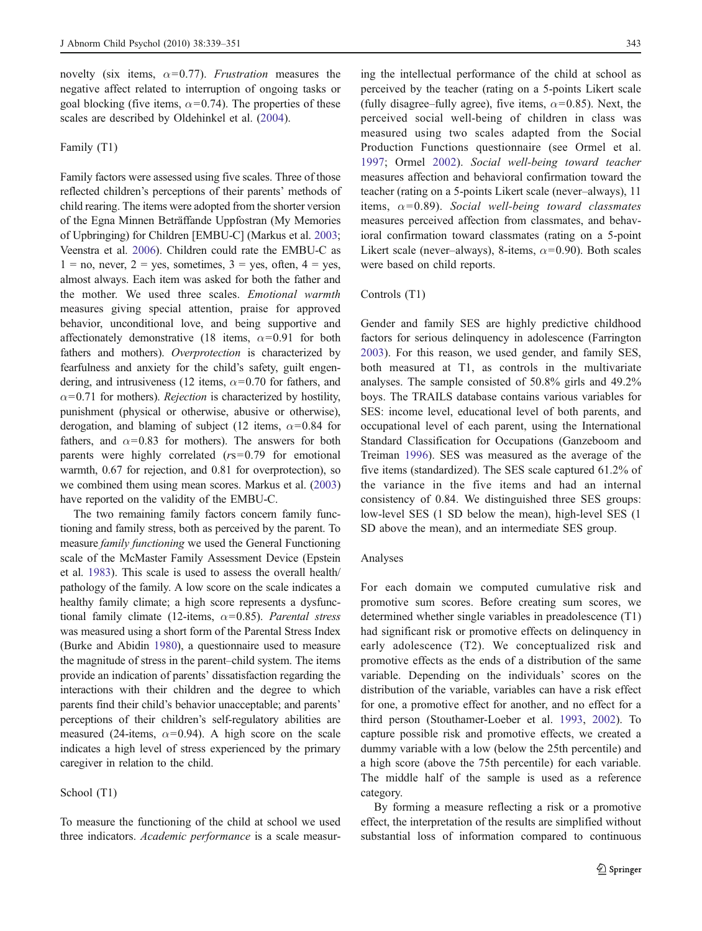novelty (six items,  $\alpha$ =0.77). *Frustration* measures the negative affect related to interruption of ongoing tasks or goal blocking (five items,  $\alpha$ =0.74). The properties of these scales are described by Oldehinkel et al. [\(2004](#page-11-0)).

#### Family (T1)

Family factors were assessed using five scales. Three of those reflected children's perceptions of their parents' methods of child rearing. The items were adopted from the shorter version of the Egna Minnen Beträffande Uppfostran (My Memories of Upbringing) for Children [EMBU-C] (Markus et al. [2003](#page-11-0); Veenstra et al. [2006](#page-12-0)). Children could rate the EMBU-C as  $1 = no$ , never,  $2 = yes$ , sometimes,  $3 = yes$ , often,  $4 = yes$ , almost always. Each item was asked for both the father and the mother. We used three scales. Emotional warmth measures giving special attention, praise for approved behavior, unconditional love, and being supportive and affectionately demonstrative (18 items,  $\alpha$ =0.91 for both fathers and mothers). Overprotection is characterized by fearfulness and anxiety for the child's safety, guilt engendering, and intrusiveness (12 items,  $\alpha$ =0.70 for fathers, and  $\alpha$ =0.71 for mothers). *Rejection* is characterized by hostility, punishment (physical or otherwise, abusive or otherwise), derogation, and blaming of subject (12 items,  $\alpha$ =0.84 for fathers, and  $\alpha$ =0.83 for mothers). The answers for both parents were highly correlated (rs=0.79 for emotional warmth, 0.67 for rejection, and 0.81 for overprotection), so we combined them using mean scores. Markus et al. [\(2003\)](#page-11-0) have reported on the validity of the EMBU-C.

The two remaining family factors concern family functioning and family stress, both as perceived by the parent. To measure family functioning we used the General Functioning scale of the McMaster Family Assessment Device (Epstein et al. [1983](#page-11-0)). This scale is used to assess the overall health/ pathology of the family. A low score on the scale indicates a healthy family climate; a high score represents a dysfunctional family climate (12-items,  $\alpha$ =0.85). Parental stress was measured using a short form of the Parental Stress Index (Burke and Abidin [1980](#page-10-0)), a questionnaire used to measure the magnitude of stress in the parent–child system. The items provide an indication of parents' dissatisfaction regarding the interactions with their children and the degree to which parents find their child's behavior unacceptable; and parents' perceptions of their children's self-regulatory abilities are measured (24-items,  $\alpha$ =0.94). A high score on the scale indicates a high level of stress experienced by the primary caregiver in relation to the child.

## School (T1)

To measure the functioning of the child at school we used three indicators. Academic performance is a scale measuring the intellectual performance of the child at school as perceived by the teacher (rating on a 5-points Likert scale (fully disagree–fully agree), five items,  $\alpha$ =0.85). Next, the perceived social well-being of children in class was measured using two scales adapted from the Social Production Functions questionnaire (see Ormel et al. [1997](#page-11-0); Ormel [2002](#page-11-0)). Social well-being toward teacher measures affection and behavioral confirmation toward the teacher (rating on a 5-points Likert scale (never–always), 11 items,  $\alpha$ =0.89). Social well-being toward classmates measures perceived affection from classmates, and behavioral confirmation toward classmates (rating on a 5-point Likert scale (never–always), 8-items,  $\alpha$ =0.90). Both scales were based on child reports.

## Controls (T1)

Gender and family SES are highly predictive childhood factors for serious delinquency in adolescence (Farrington [2003](#page-11-0)). For this reason, we used gender, and family SES, both measured at T1, as controls in the multivariate analyses. The sample consisted of 50.8% girls and 49.2% boys. The TRAILS database contains various variables for SES: income level, educational level of both parents, and occupational level of each parent, using the International Standard Classification for Occupations (Ganzeboom and Treiman [1996](#page-11-0)). SES was measured as the average of the five items (standardized). The SES scale captured 61.2% of the variance in the five items and had an internal consistency of 0.84. We distinguished three SES groups: low-level SES (1 SD below the mean), high-level SES (1 SD above the mean), and an intermediate SES group.

## Analyses

For each domain we computed cumulative risk and promotive sum scores. Before creating sum scores, we determined whether single variables in preadolescence (T1) had significant risk or promotive effects on delinquency in early adolescence (T2). We conceptualized risk and promotive effects as the ends of a distribution of the same variable. Depending on the individuals' scores on the distribution of the variable, variables can have a risk effect for one, a promotive effect for another, and no effect for a third person (Stouthamer-Loeber et al. [1993,](#page-11-0) [2002\)](#page-12-0). To capture possible risk and promotive effects, we created a dummy variable with a low (below the 25th percentile) and a high score (above the 75th percentile) for each variable. The middle half of the sample is used as a reference category.

By forming a measure reflecting a risk or a promotive effect, the interpretation of the results are simplified without substantial loss of information compared to continuous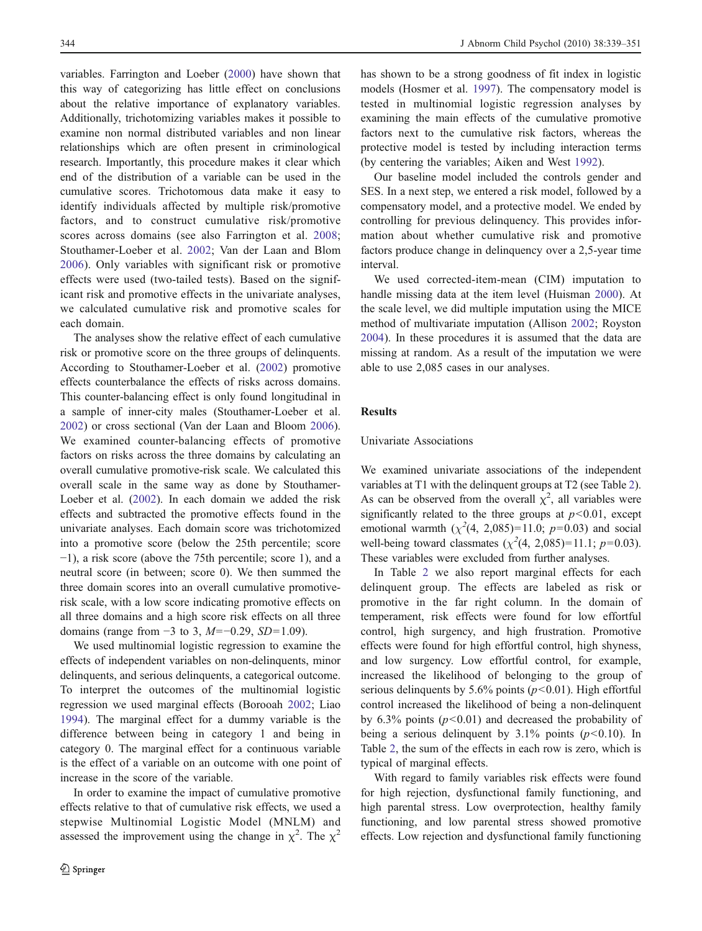variables. Farrington and Loeber ([2000\)](#page-11-0) have shown that this way of categorizing has little effect on conclusions about the relative importance of explanatory variables. Additionally, trichotomizing variables makes it possible to examine non normal distributed variables and non linear relationships which are often present in criminological research. Importantly, this procedure makes it clear which end of the distribution of a variable can be used in the cumulative scores. Trichotomous data make it easy to identify individuals affected by multiple risk/promotive factors, and to construct cumulative risk/promotive scores across domains (see also Farrington et al. [2008](#page-11-0); Stouthamer-Loeber et al. [2002](#page-12-0); Van der Laan and Blom [2006](#page-12-0)). Only variables with significant risk or promotive effects were used (two-tailed tests). Based on the significant risk and promotive effects in the univariate analyses, we calculated cumulative risk and promotive scales for each domain.

The analyses show the relative effect of each cumulative risk or promotive score on the three groups of delinquents. According to Stouthamer-Loeber et al. ([2002\)](#page-12-0) promotive effects counterbalance the effects of risks across domains. This counter-balancing effect is only found longitudinal in a sample of inner-city males (Stouthamer-Loeber et al. [2002\)](#page-12-0) or cross sectional (Van der Laan and Bloom [2006](#page-12-0)). We examined counter-balancing effects of promotive factors on risks across the three domains by calculating an overall cumulative promotive-risk scale. We calculated this overall scale in the same way as done by Stouthamer-Loeber et al. ([2002\)](#page-12-0). In each domain we added the risk effects and subtracted the promotive effects found in the univariate analyses. Each domain score was trichotomized into a promotive score (below the 25th percentile; score −1), a risk score (above the 75th percentile; score 1), and a neutral score (in between; score 0). We then summed the three domain scores into an overall cumulative promotiverisk scale, with a low score indicating promotive effects on all three domains and a high score risk effects on all three domains (range from  $-3$  to 3,  $M=-0.29$ ,  $SD=1.09$ ).

We used multinomial logistic regression to examine the effects of independent variables on non-delinquents, minor delinquents, and serious delinquents, a categorical outcome. To interpret the outcomes of the multinomial logistic regression we used marginal effects (Borooah [2002](#page-10-0); Liao [1994\)](#page-11-0). The marginal effect for a dummy variable is the difference between being in category 1 and being in category 0. The marginal effect for a continuous variable is the effect of a variable on an outcome with one point of increase in the score of the variable.

In order to examine the impact of cumulative promotive effects relative to that of cumulative risk effects, we used a stepwise Multinomial Logistic Model (MNLM) and assessed the improvement using the change in  $\chi^2$ . The  $\chi^2$ 

has shown to be a strong goodness of fit index in logistic models (Hosmer et al. [1997](#page-11-0)). The compensatory model is tested in multinomial logistic regression analyses by examining the main effects of the cumulative promotive factors next to the cumulative risk factors, whereas the protective model is tested by including interaction terms (by centering the variables; Aiken and West [1992](#page-10-0)).

Our baseline model included the controls gender and SES. In a next step, we entered a risk model, followed by a compensatory model, and a protective model. We ended by controlling for previous delinquency. This provides information about whether cumulative risk and promotive factors produce change in delinquency over a 2,5-year time interval.

We used corrected-item-mean (CIM) imputation to handle missing data at the item level (Huisman [2000\)](#page-11-0). At the scale level, we did multiple imputation using the MICE method of multivariate imputation (Allison [2002;](#page-10-0) Royston [2004](#page-11-0)). In these procedures it is assumed that the data are missing at random. As a result of the imputation we were able to use 2,085 cases in our analyses.

#### Results

## Univariate Associations

We examined univariate associations of the independent variables at T1 with the delinquent groups at T2 (see Table [2\)](#page-6-0). As can be observed from the overall  $\chi^2$ , all variables were significantly related to the three groups at  $p<0.01$ , except emotional warmth  $(\chi^2(4, 2,085)=11.0; p=0.03)$  and social well-being toward classmates  $(\chi^2(4, 2,085)=11.1; p=0.03)$ . These variables were excluded from further analyses.

In Table [2](#page-6-0) we also report marginal effects for each delinquent group. The effects are labeled as risk or promotive in the far right column. In the domain of temperament, risk effects were found for low effortful control, high surgency, and high frustration. Promotive effects were found for high effortful control, high shyness, and low surgency. Low effortful control, for example, increased the likelihood of belonging to the group of serious delinquents by 5.6% points ( $p$ <0.01). High effortful control increased the likelihood of being a non-delinquent by 6.3% points  $(p<0.01)$  and decreased the probability of being a serious delinquent by  $3.1\%$  points ( $p<0.10$ ). In Table [2,](#page-6-0) the sum of the effects in each row is zero, which is typical of marginal effects.

With regard to family variables risk effects were found for high rejection, dysfunctional family functioning, and high parental stress. Low overprotection, healthy family functioning, and low parental stress showed promotive effects. Low rejection and dysfunctional family functioning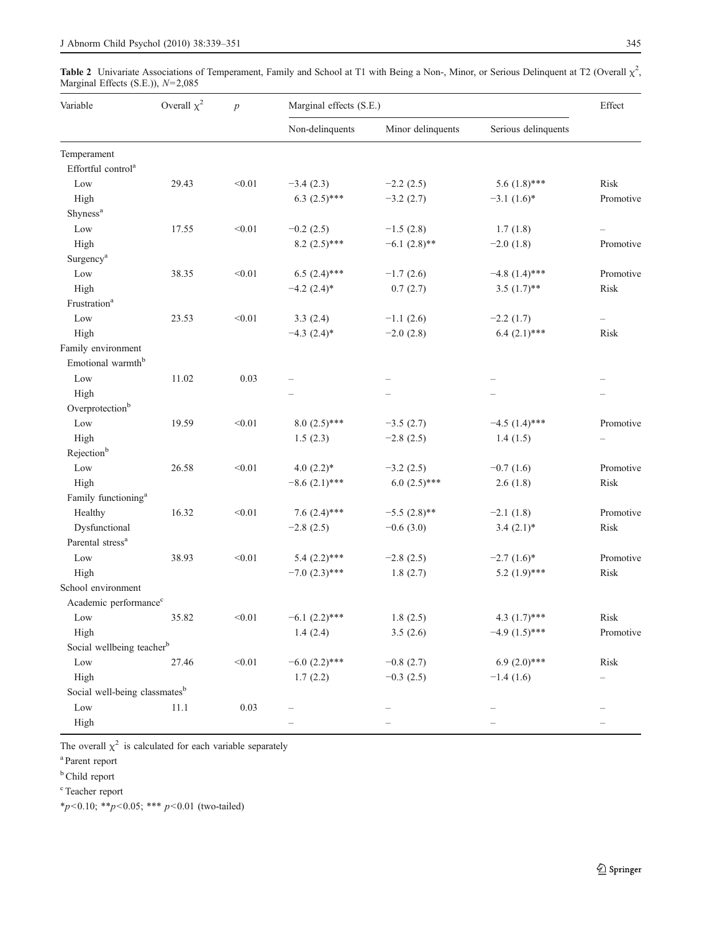<span id="page-6-0"></span>Table 2 Univariate Associations of Temperament, Family and School at T1 with Being a Non-, Minor, or Serious Delinquent at T2 (Overall  $\chi^2$ , Marginal Effects (S.E.)), N=2,085

| Variable                                  | Overall $\chi^2$ | $\overline{p}$ | Marginal effects (S.E.)     |                   |                     | Effect    |
|-------------------------------------------|------------------|----------------|-----------------------------|-------------------|---------------------|-----------|
|                                           |                  |                | Non-delinquents             | Minor delinquents | Serious delinquents |           |
| Temperament                               |                  |                |                             |                   |                     |           |
| Effortful control <sup>a</sup>            |                  |                |                             |                   |                     |           |
| Low                                       | 29.43            | < 0.01         | $-3.4(2.3)$                 | $-2.2$ (2.5)      | 5.6 $(1.8)$ ***     | Risk      |
| High                                      |                  |                | $6.3$ $(2.5)$ ***           | $-3.2$ (2.7)      | $-3.1(1.6)$ *       | Promotive |
| Shyness <sup>a</sup>                      |                  |                |                             |                   |                     |           |
| Low                                       | 17.55            | < 0.01         | $-0.2$ (2.5)                | $-1.5(2.8)$       | 1.7(1.8)            |           |
| High                                      |                  |                | 8.2 $(2.5)$ ***             | $-6.1(2.8)$ **    | $-2.0(1.8)$         | Promotive |
| Surgency <sup>a</sup>                     |                  |                |                             |                   |                     |           |
| Low                                       | 38.35            | < 0.01         | $6.5(2.4)$ ***              | $-1.7(2.6)$       | $-4.8$ $(1.4)$ ***  | Promotive |
| High                                      |                  |                | $-4.2$ (2.4)*               | 0.7(2.7)          | $3.5(1.7)$ **       | Risk      |
| Frustration <sup>a</sup>                  |                  |                |                             |                   |                     |           |
| Low                                       | 23.53            | < 0.01         | 3.3(2.4)                    | $-1.1(2.6)$       | $-2.2$ (1.7)        | $\equiv$  |
| High                                      |                  |                | $-4.3$ $(2.4)$ <sup>*</sup> | $-2.0$ (2.8)      | $6.4(2.1)$ ***      | Risk      |
| Family environment                        |                  |                |                             |                   |                     |           |
| Emotional warmth <sup>b</sup>             |                  |                |                             |                   |                     |           |
| Low                                       | 11.02            | 0.03           |                             |                   |                     |           |
| High                                      |                  |                |                             |                   |                     |           |
| Overprotection <sup>b</sup>               |                  |                |                             |                   |                     |           |
| Low                                       | 19.59            | < 0.01         | $8.0(2.5)$ ***              | $-3.5(2.7)$       | $-4.5$ $(1.4)$ ***  | Promotive |
| High                                      |                  |                | 1.5(2.3)                    | $-2.8(2.5)$       | 1.4(1.5)            |           |
| Rejection <sup>b</sup>                    |                  |                |                             |                   |                     |           |
| Low                                       | 26.58            | < 0.01         | $4.0 (2.2)^*$               | $-3.2$ (2.5)      | $-0.7(1.6)$         | Promotive |
| High                                      |                  |                | $-8.6$ $(2.1)$ ***          | $6.0(2.5)$ ***    | 2.6(1.8)            | Risk      |
| Family functioning <sup>a</sup>           |                  |                |                             |                   |                     |           |
| Healthy                                   | 16.32            | < 0.01         | 7.6 $(2.4)$ ***             | $-5.5(2.8)$ **    | $-2.1(1.8)$         | Promotive |
| Dysfunctional                             |                  |                | $-2.8(2.5)$                 | $-0.6(3.0)$       | $3.4(2.1)$ *        | Risk      |
| Parental stress <sup>a</sup>              |                  |                |                             |                   |                     |           |
| Low                                       | 38.93            | < 0.01         | 5.4 $(2.2)$ ***             | $-2.8(2.5)$       | $-2.7(1.6)^*$       | Promotive |
| High                                      |                  |                | $-7.0$ $(2.3)$ ***          | 1.8(2.7)          | 5.2 $(1.9)$ ***     | Risk      |
| School environment                        |                  |                |                             |                   |                     |           |
| Academic performance <sup>c</sup>         |                  |                |                             |                   |                     |           |
| Low                                       | 35.82            | < 0.01         | $-6.1 (2.2)$ ***            | 1.8(2.5)          | 4.3 $(1.7)$ ***     | Risk      |
| High                                      |                  |                | 1.4(2.4)                    | 3.5(2.6)          | $-4.9(1.5)$ ***     | Promotive |
| Social wellbeing teacher <sup>b</sup>     |                  |                |                             |                   |                     |           |
| Low                                       | 27.46            | < 0.01         | $-6.0$ $(2.2)$ ***          | $-0.8$ (2.7)      | $6.9(2.0)$ ***      | Risk      |
| High                                      |                  |                | 1.7(2.2)                    | $-0.3$ (2.5)      | $-1.4(1.6)$         |           |
| Social well-being classmates <sup>b</sup> |                  |                |                             |                   |                     |           |
| Low                                       | 11.1             | 0.03           |                             |                   |                     |           |
| High                                      |                  |                |                             |                   |                     |           |

The overall  $\chi^2$  is calculated for each variable separately

a Parent report

<sup>b</sup> Child report

<sup>c</sup> Teacher report

\*p<0.10; \*\*p<0.05; \*\*\* p<0.01 (two-tailed)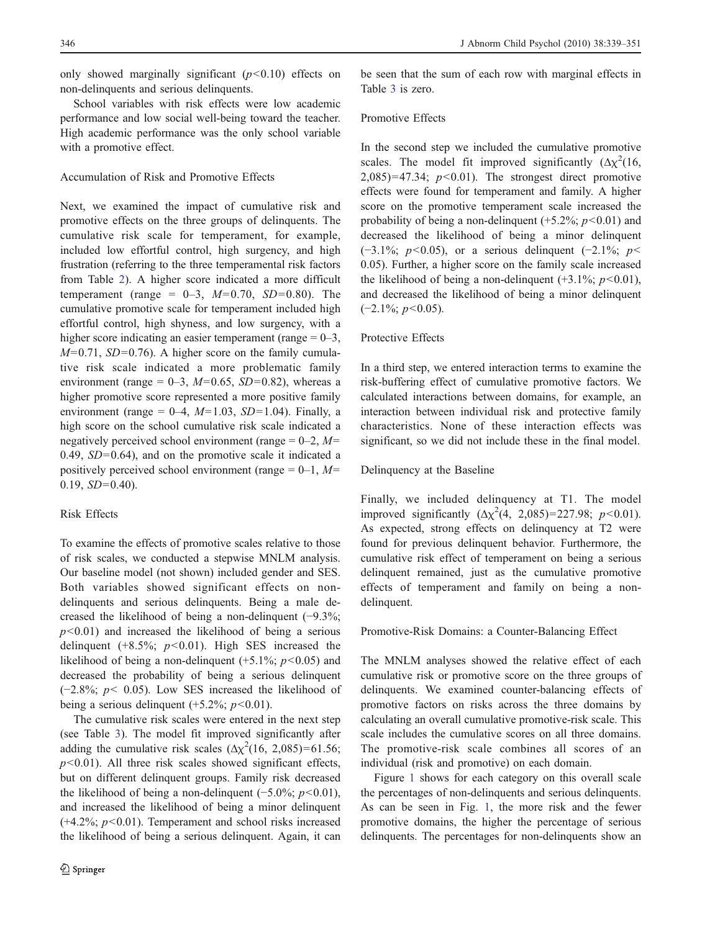only showed marginally significant  $(p<0.10)$  effects on non-delinquents and serious delinquents.

School variables with risk effects were low academic performance and low social well-being toward the teacher. High academic performance was the only school variable with a promotive effect.

## Accumulation of Risk and Promotive Effects

Next, we examined the impact of cumulative risk and promotive effects on the three groups of delinquents. The cumulative risk scale for temperament, for example, included low effortful control, high surgency, and high frustration (referring to the three temperamental risk factors from Table [2](#page-6-0)). A higher score indicated a more difficult temperament (range =  $0-3$ ,  $M=0.70$ ,  $SD=0.80$ ). The cumulative promotive scale for temperament included high effortful control, high shyness, and low surgency, with a higher score indicating an easier temperament (range  $= 0-3$ ,  $M=0.71$ ,  $SD=0.76$ ). A higher score on the family cumulative risk scale indicated a more problematic family environment (range =  $0-3$ ,  $M=0.65$ ,  $SD=0.82$ ), whereas a higher promotive score represented a more positive family environment (range =  $0-4$ ,  $M=1.03$ ,  $SD=1.04$ ). Finally, a high score on the school cumulative risk scale indicated a negatively perceived school environment (range  $= 0-2$ ,  $M=$  $0.49$ ,  $SD=0.64$ ), and on the promotive scale it indicated a positively perceived school environment (range  $= 0-1$ ,  $M=$  $0.19, SD=0.40$ .

## Risk Effects

To examine the effects of promotive scales relative to those of risk scales, we conducted a stepwise MNLM analysis. Our baseline model (not shown) included gender and SES. Both variables showed significant effects on nondelinquents and serious delinquents. Being a male decreased the likelihood of being a non-delinquent (−9.3%;  $p<0.01$ ) and increased the likelihood of being a serious delinquent  $(+8.5\%; p<0.01)$ . High SES increased the likelihood of being a non-delinquent  $(+5.1\%; p<0.05)$  and decreased the probability of being a serious delinquent (−2.8%; p< 0.05). Low SES increased the likelihood of being a serious delinquent  $(+5.2\%; p<0.01)$ .

The cumulative risk scales were entered in the next step (see Table [3\)](#page-8-0). The model fit improved significantly after adding the cumulative risk scales  $(\Delta \chi^2(16, 2,085)=61.56;$  $p$ <0.01). All three risk scales showed significant effects, but on different delinquent groups. Family risk decreased the likelihood of being a non-delinquent  $(-5.0\%; p<0.01)$ , and increased the likelihood of being a minor delinquent  $(+4.2\%; p<0.01)$ . Temperament and school risks increased the likelihood of being a serious delinquent. Again, it can be seen that the sum of each row with marginal effects in Table [3](#page-8-0) is zero.

#### Promotive Effects

In the second step we included the cumulative promotive scales. The model fit improved significantly  $(\Delta \chi^2(16,$ 2,085)=47.34;  $p<0.01$ ). The strongest direct promotive effects were found for temperament and family. A higher score on the promotive temperament scale increased the probability of being a non-delinquent  $(+5.2\%; p<0.01)$  and decreased the likelihood of being a minor delinquent (−3.1%;  $p$ <0.05), or a serious delinquent (−2.1%;  $p$ < 0.05). Further, a higher score on the family scale increased the likelihood of being a non-delinquent  $(+3.1\%; p<0.01)$ , and decreased the likelihood of being a minor delinquent  $(-2.1\%; p<0.05)$ .

## Protective Effects

In a third step, we entered interaction terms to examine the risk-buffering effect of cumulative promotive factors. We calculated interactions between domains, for example, an interaction between individual risk and protective family characteristics. None of these interaction effects was significant, so we did not include these in the final model.

### Delinquency at the Baseline

Finally, we included delinquency at T1. The model improved significantly  $(\Delta \chi^2(4, 2,085)=227.98; p<0.01)$ . As expected, strong effects on delinquency at T2 were found for previous delinquent behavior. Furthermore, the cumulative risk effect of temperament on being a serious delinquent remained, just as the cumulative promotive effects of temperament and family on being a nondelinquent.

#### Promotive-Risk Domains: a Counter-Balancing Effect

The MNLM analyses showed the relative effect of each cumulative risk or promotive score on the three groups of delinquents. We examined counter-balancing effects of promotive factors on risks across the three domains by calculating an overall cumulative promotive-risk scale. This scale includes the cumulative scores on all three domains. The promotive-risk scale combines all scores of an individual (risk and promotive) on each domain.

Figure [1](#page-9-0) shows for each category on this overall scale the percentages of non-delinquents and serious delinquents. As can be seen in Fig. [1](#page-9-0), the more risk and the fewer promotive domains, the higher the percentage of serious delinquents. The percentages for non-delinquents show an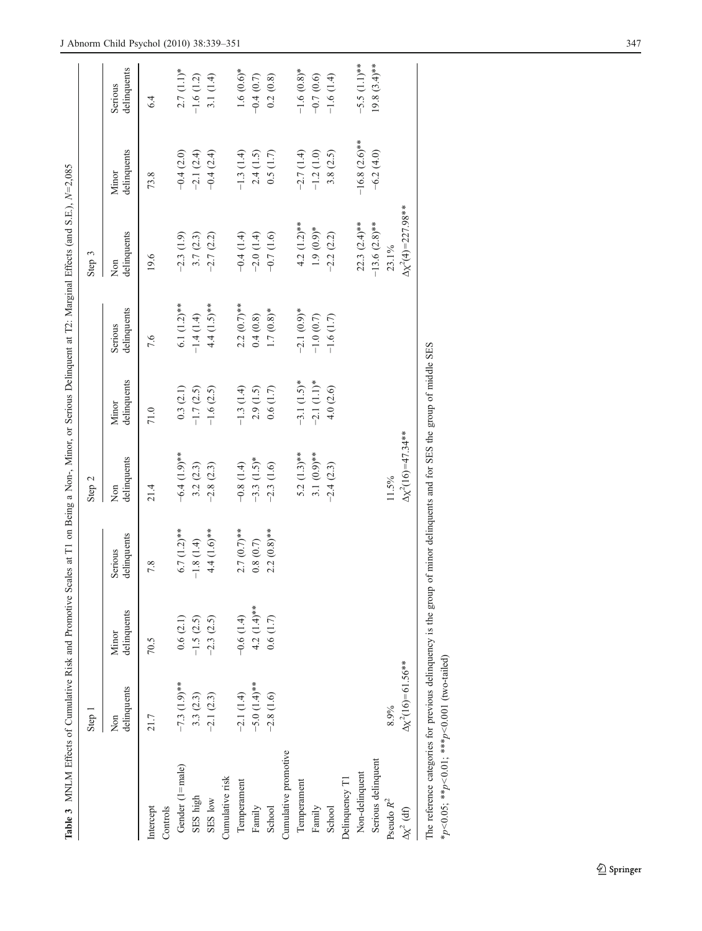|                       | Step 1                          |                      |                        | Step 2                         |                      |                        | Step 3                       |                      |                        |
|-----------------------|---------------------------------|----------------------|------------------------|--------------------------------|----------------------|------------------------|------------------------------|----------------------|------------------------|
|                       | delinquents<br>Non              | delinquents<br>Minor | delinquents<br>Serious | delinquents<br>Non             | delinquents<br>Minor | delinquents<br>Serious | delinquents<br>Non           | delinquents<br>Minor | delinquents<br>Serious |
| Intercept<br>Controls | 21.7                            | 70.5                 | 7.8                    | 21.4                           | 71.0                 | 7.6                    | 19.6                         | 73.8                 | 6.4                    |
| Gender (1=male)       | $-7.3(1.9)$ **                  | 0.6(2.1)             | $6.7(1.2)$ **          | $-6.4(1.9)$ **                 | 0.3(2.1)             | $6.1(1.2)$ **          | $-2.3(1.9)$                  | $-0.4(2.0)$          | $2.7 (1.1)$ *          |
| SES high              | 3.3(2.3)                        | $-1.5(2.5)$          | $-1.8(1.4)$            | 3.2(2.3)                       | $-1.7(2.5)$          | $-1.4(1.4)$            | 3.7(2.3)                     | $-2.1(2.4)$          | $-1.6(1.2)$            |
| SES low               | $-2.1(2.3)$                     | $-2.3(2.5)$          | $4.4(1.6)$ **          | $-2.8(2.3)$                    | $-1.6(2.5)$          | $4.4(1.5)$ **          | $-2.7(2.2)$                  | $-0.4(2.4)$          | 3.1 $(1.4)$            |
| Cumulative risk       |                                 |                      |                        |                                |                      |                        |                              |                      |                        |
| Temperament           | $-2.1(1.4)$                     | $-0.6(1.4)$          | $2.7(0.7)$ **          | $-0.8(1.4)$                    | $-1.3(1.4)$          | $2.2 (0.7)$ **         | $-0.4(1.4)$                  | $-1.3(1.4)$          | $1.6(0.6)*$            |
| Family                | $-5.0(1.4)$ **                  | $4.2(1.4)$ **        | 0.8(0.7)               | $-3.3$ $(1.5)$ *               | 2.9(1.5)             | 0.4(0.8)               | $-2.0(1.4)$                  | 2.4(1.5)             | $-0.4(0.7)$            |
| School                | $-2.8(1.6)$                     | 0.6 $(1.7)$          | $2.2(0.8)$ **          | $-2.3(1.6)$                    | 0.6(1.7)             | $1.7(0.8)*$            | $-0.7(1.6)$                  | 0.5(1.7)             | 0.2(0.8)               |
| Cumulative promotive  |                                 |                      |                        |                                |                      |                        |                              |                      |                        |
| Temperament           |                                 |                      |                        | $5.2 (1.3)$ **                 | $-3.1(1.5)$ *        | $-2.1(0.9)$ *          | $4.2(1.2)$ **                | $-2.7(1.4)$          | $-1.6(0.8)*$           |
| Family                |                                 |                      |                        | 3.1 $(0.9)$ **                 | $-2.1(1.1)$ *        | $-1.0(0.7)$            | $1.9(0.9)$ *                 | $-1.2(1.0)$          | $-0.7(0.6)$            |
| School                |                                 |                      |                        | $-2.4(2.3)$                    | 4.0(2.6)             | $-1.6(1.7)$            | $-2.2(2.2)$                  | 3.8(2.5)             | $-1.6(1.4)$            |
| Delinquency T1        |                                 |                      |                        |                                |                      |                        |                              |                      |                        |
| Non-delinquent        |                                 |                      |                        |                                |                      |                        | $22.3(2.4)$ **               | $-16.8(2.6)$ **      | $-5.5 (1.1)$ **        |
| Serious delinquent    |                                 |                      |                        |                                |                      |                        | $-13.6(2.8)$ **              | $-6.2(4.0)$          | $19.8(3.4)$ **         |
| Pseudo $R^2$          | 8.9%                            |                      |                        | 11.5%                          |                      |                        | 23.1%                        |                      |                        |
| $\Delta \chi^2$ (df)  | $\Delta \chi^2 (16) = 61.56$ ** |                      |                        | $\Delta \chi^2(16) = 47.34***$ |                      |                        | $\Delta \chi^2(4)=227.98***$ |                      |                        |

<span id="page-8-0"></span>J Abnorm Child Psychol (2010) 38:339  $-351$  347

 $\underline{\textcircled{\tiny 2}}$  Springer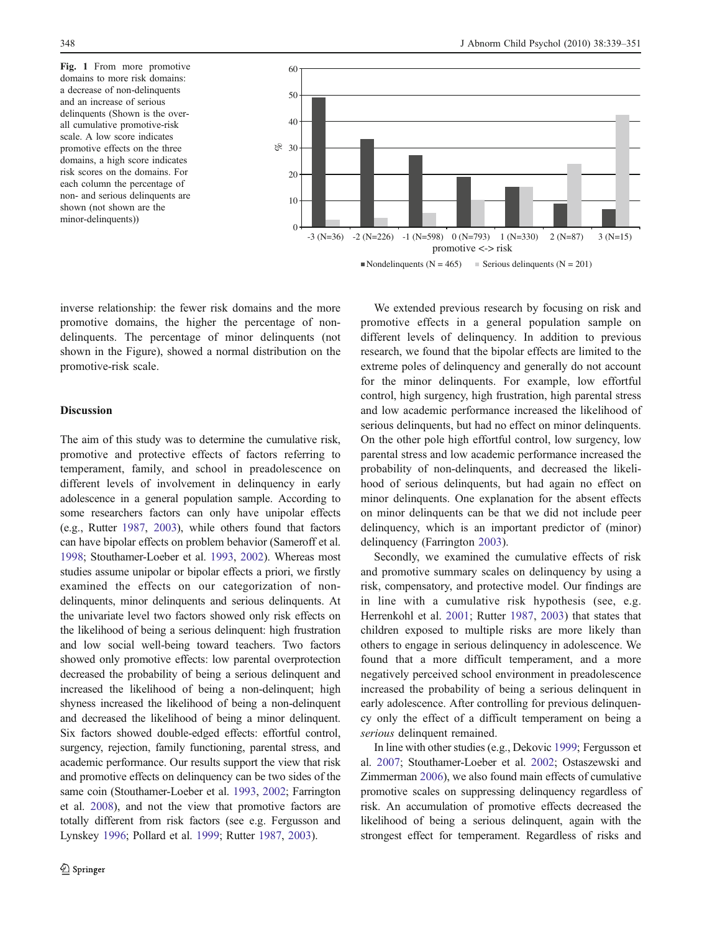<span id="page-9-0"></span>Fig. 1 From more promotive domains to more risk domains: a decrease of non-delinquents and an increase of serious delinquents (Shown is the overall cumulative promotive-risk scale. A low score indicates promotive effects on the three domains, a high score indicates risk scores on the domains. For each column the percentage of non- and serious delinquents are shown (not shown are the minor-delinquents))



inverse relationship: the fewer risk domains and the more promotive domains, the higher the percentage of nondelinquents. The percentage of minor delinquents (not shown in the Figure), showed a normal distribution on the promotive-risk scale.

### Discussion

The aim of this study was to determine the cumulative risk, promotive and protective effects of factors referring to temperament, family, and school in preadolescence on different levels of involvement in delinquency in early adolescence in a general population sample. According to some researchers factors can only have unipolar effects (e.g., Rutter [1987](#page-11-0), [2003](#page-11-0)), while others found that factors can have bipolar effects on problem behavior (Sameroff et al. [1998;](#page-11-0) Stouthamer-Loeber et al. [1993](#page-11-0), [2002\)](#page-12-0). Whereas most studies assume unipolar or bipolar effects a priori, we firstly examined the effects on our categorization of nondelinquents, minor delinquents and serious delinquents. At the univariate level two factors showed only risk effects on the likelihood of being a serious delinquent: high frustration and low social well-being toward teachers. Two factors showed only promotive effects: low parental overprotection decreased the probability of being a serious delinquent and increased the likelihood of being a non-delinquent; high shyness increased the likelihood of being a non-delinquent and decreased the likelihood of being a minor delinquent. Six factors showed double-edged effects: effortful control, surgency, rejection, family functioning, parental stress, and academic performance. Our results support the view that risk and promotive effects on delinquency can be two sides of the same coin (Stouthamer-Loeber et al. [1993](#page-11-0), [2002;](#page-12-0) Farrington et al. [2008](#page-11-0)), and not the view that promotive factors are totally different from risk factors (see e.g. Fergusson and Lynskey [1996;](#page-11-0) Pollard et al. [1999](#page-11-0); Rutter [1987,](#page-11-0) [2003](#page-11-0)).

We extended previous research by focusing on risk and promotive effects in a general population sample on different levels of delinquency. In addition to previous research, we found that the bipolar effects are limited to the extreme poles of delinquency and generally do not account for the minor delinquents. For example, low effortful control, high surgency, high frustration, high parental stress and low academic performance increased the likelihood of serious delinquents, but had no effect on minor delinquents. On the other pole high effortful control, low surgency, low parental stress and low academic performance increased the probability of non-delinquents, and decreased the likelihood of serious delinquents, but had again no effect on minor delinquents. One explanation for the absent effects on minor delinquents can be that we did not include peer delinquency, which is an important predictor of (minor) delinquency (Farrington [2003](#page-11-0)).

Secondly, we examined the cumulative effects of risk and promotive summary scales on delinquency by using a risk, compensatory, and protective model. Our findings are in line with a cumulative risk hypothesis (see, e.g. Herrenkohl et al. [2001](#page-11-0); Rutter [1987,](#page-11-0) [2003\)](#page-11-0) that states that children exposed to multiple risks are more likely than others to engage in serious delinquency in adolescence. We found that a more difficult temperament, and a more negatively perceived school environment in preadolescence increased the probability of being a serious delinquent in early adolescence. After controlling for previous delinquency only the effect of a difficult temperament on being a serious delinquent remained.

In line with other studies (e.g., Dekovic [1999;](#page-10-0) Fergusson et al. [2007](#page-11-0); Stouthamer-Loeber et al. [2002](#page-12-0); Ostaszewski and Zimmerman [2006](#page-11-0)), we also found main effects of cumulative promotive scales on suppressing delinquency regardless of risk. An accumulation of promotive effects decreased the likelihood of being a serious delinquent, again with the strongest effect for temperament. Regardless of risks and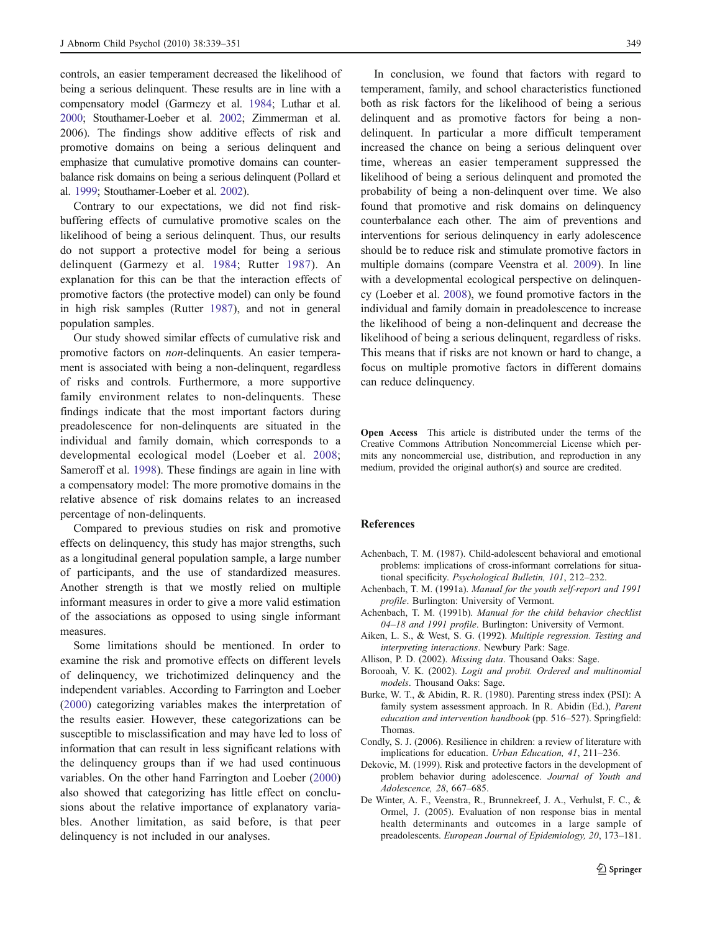<span id="page-10-0"></span>controls, an easier temperament decreased the likelihood of being a serious delinquent. These results are in line with a compensatory model (Garmezy et al. [1984;](#page-11-0) Luthar et al. [2000](#page-11-0); Stouthamer-Loeber et al. [2002](#page-12-0); Zimmerman et al. 2006). The findings show additive effects of risk and promotive domains on being a serious delinquent and emphasize that cumulative promotive domains can counterbalance risk domains on being a serious delinquent (Pollard et al. [1999](#page-11-0); Stouthamer-Loeber et al. [2002](#page-12-0)).

Contrary to our expectations, we did not find riskbuffering effects of cumulative promotive scales on the likelihood of being a serious delinquent. Thus, our results do not support a protective model for being a serious delinquent (Garmezy et al. [1984](#page-11-0); Rutter [1987](#page-11-0)). An explanation for this can be that the interaction effects of promotive factors (the protective model) can only be found in high risk samples (Rutter [1987\)](#page-11-0), and not in general population samples.

Our study showed similar effects of cumulative risk and promotive factors on non-delinquents. An easier temperament is associated with being a non-delinquent, regardless of risks and controls. Furthermore, a more supportive family environment relates to non-delinquents. These findings indicate that the most important factors during preadolescence for non-delinquents are situated in the individual and family domain, which corresponds to a developmental ecological model (Loeber et al. [2008](#page-11-0); Sameroff et al. [1998](#page-11-0)). These findings are again in line with a compensatory model: The more promotive domains in the relative absence of risk domains relates to an increased percentage of non-delinquents.

Compared to previous studies on risk and promotive effects on delinquency, this study has major strengths, such as a longitudinal general population sample, a large number of participants, and the use of standardized measures. Another strength is that we mostly relied on multiple informant measures in order to give a more valid estimation of the associations as opposed to using single informant measures.

Some limitations should be mentioned. In order to examine the risk and promotive effects on different levels of delinquency, we trichotimized delinquency and the independent variables. According to Farrington and Loeber [\(2000](#page-11-0)) categorizing variables makes the interpretation of the results easier. However, these categorizations can be susceptible to misclassification and may have led to loss of information that can result in less significant relations with the delinquency groups than if we had used continuous variables. On the other hand Farrington and Loeber ([2000\)](#page-11-0) also showed that categorizing has little effect on conclusions about the relative importance of explanatory variables. Another limitation, as said before, is that peer delinquency is not included in our analyses.

In conclusion, we found that factors with regard to temperament, family, and school characteristics functioned both as risk factors for the likelihood of being a serious delinquent and as promotive factors for being a nondelinquent. In particular a more difficult temperament increased the chance on being a serious delinquent over time, whereas an easier temperament suppressed the likelihood of being a serious delinquent and promoted the probability of being a non-delinquent over time. We also found that promotive and risk domains on delinquency counterbalance each other. The aim of preventions and interventions for serious delinquency in early adolescence should be to reduce risk and stimulate promotive factors in multiple domains (compare Veenstra et al. [2009\)](#page-12-0). In line with a developmental ecological perspective on delinquency (Loeber et al. [2008\)](#page-11-0), we found promotive factors in the individual and family domain in preadolescence to increase the likelihood of being a non-delinquent and decrease the likelihood of being a serious delinquent, regardless of risks. This means that if risks are not known or hard to change, a focus on multiple promotive factors in different domains can reduce delinquency.

Open Access This article is distributed under the terms of the Creative Commons Attribution Noncommercial License which permits any noncommercial use, distribution, and reproduction in any medium, provided the original author(s) and source are credited.

#### References

- Achenbach, T. M. (1987). Child-adolescent behavioral and emotional problems: implications of cross-informant correlations for situational specificity. Psychological Bulletin, 101, 212–232.
- Achenbach, T. M. (1991a). Manual for the youth self-report and 1991 profile. Burlington: University of Vermont.
- Achenbach, T. M. (1991b). Manual for the child behavior checklist 04–18 and 1991 profile. Burlington: University of Vermont.
- Aiken, L. S., & West, S. G. (1992). Multiple regression. Testing and interpreting interactions. Newbury Park: Sage.
- Allison, P. D. (2002). Missing data. Thousand Oaks: Sage.
- Borooah, V. K. (2002). Logit and probit. Ordered and multinomial models. Thousand Oaks: Sage.
- Burke, W. T., & Abidin, R. R. (1980). Parenting stress index (PSI): A family system assessment approach. In R. Abidin (Ed.), Parent education and intervention handbook (pp. 516–527). Springfield: Thomas.
- Condly, S. J. (2006). Resilience in children: a review of literature with implications for education. Urban Education, 41, 211–236.
- Dekovic, M. (1999). Risk and protective factors in the development of problem behavior during adolescence. Journal of Youth and Adolescence, 28, 667–685.
- De Winter, A. F., Veenstra, R., Brunnekreef, J. A., Verhulst, F. C., & Ormel, J. (2005). Evaluation of non response bias in mental health determinants and outcomes in a large sample of preadolescents. European Journal of Epidemiology, 20, 173–181.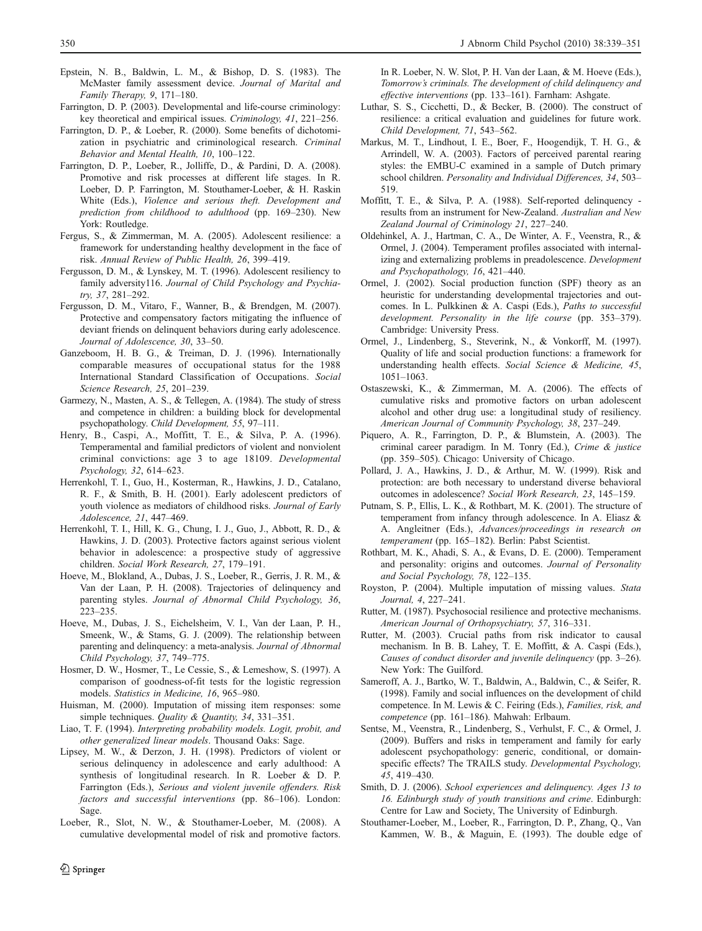- <span id="page-11-0"></span>Epstein, N. B., Baldwin, L. M., & Bishop, D. S. (1983). The McMaster family assessment device. Journal of Marital and Family Therapy, 9, 171–180.
- Farrington, D. P. (2003). Developmental and life-course criminology: key theoretical and empirical issues. Criminology, 41, 221–256.
- Farrington, D. P., & Loeber, R. (2000). Some benefits of dichotomization in psychiatric and criminological research. Criminal Behavior and Mental Health, 10, 100–122.
- Farrington, D. P., Loeber, R., Jolliffe, D., & Pardini, D. A. (2008). Promotive and risk processes at different life stages. In R. Loeber, D. P. Farrington, M. Stouthamer-Loeber, & H. Raskin White (Eds.), Violence and serious theft. Development and prediction from childhood to adulthood (pp. 169–230). New York: Routledge.
- Fergus, S., & Zimmerman, M. A. (2005). Adolescent resilience: a framework for understanding healthy development in the face of risk. Annual Review of Public Health, 26, 399–419.
- Fergusson, D. M., & Lynskey, M. T. (1996). Adolescent resiliency to family adversity116. Journal of Child Psychology and Psychiatry, 37, 281–292.
- Fergusson, D. M., Vitaro, F., Wanner, B., & Brendgen, M. (2007). Protective and compensatory factors mitigating the influence of deviant friends on delinquent behaviors during early adolescence. Journal of Adolescence, 30, 33–50.
- Ganzeboom, H. B. G., & Treiman, D. J. (1996). Internationally comparable measures of occupational status for the 1988 International Standard Classification of Occupations. Social Science Research, 25, 201–239.
- Garmezy, N., Masten, A. S., & Tellegen, A. (1984). The study of stress and competence in children: a building block for developmental psychopathology. Child Development, 55, 97–111.
- Henry, B., Caspi, A., Moffitt, T. E., & Silva, P. A. (1996). Temperamental and familial predictors of violent and nonviolent criminal convictions: age 3 to age 18109. Developmental Psychology, 32, 614–623.
- Herrenkohl, T. I., Guo, H., Kosterman, R., Hawkins, J. D., Catalano, R. F., & Smith, B. H. (2001). Early adolescent predictors of youth violence as mediators of childhood risks. Journal of Early Adolescence, 21, 447–469.
- Herrenkohl, T. I., Hill, K. G., Chung, I. J., Guo, J., Abbott, R. D., & Hawkins, J. D. (2003). Protective factors against serious violent behavior in adolescence: a prospective study of aggressive children. Social Work Research, 27, 179–191.
- Hoeve, M., Blokland, A., Dubas, J. S., Loeber, R., Gerris, J. R. M., & Van der Laan, P. H. (2008). Trajectories of delinquency and parenting styles. Journal of Abnormal Child Psychology, 36, 223–235.
- Hoeve, M., Dubas, J. S., Eichelsheim, V. I., Van der Laan, P. H., Smeenk, W., & Stams, G. J. (2009). The relationship between parenting and delinquency: a meta-analysis. Journal of Abnormal Child Psychology, 37, 749–775.
- Hosmer, D. W., Hosmer, T., Le Cessie, S., & Lemeshow, S. (1997). A comparison of goodness-of-fit tests for the logistic regression models. Statistics in Medicine, 16, 965–980.
- Huisman, M. (2000). Imputation of missing item responses: some simple techniques. *Quality & Quantity*, 34, 331–351.
- Liao, T. F. (1994). Interpreting probability models. Logit, probit, and other generalized linear models. Thousand Oaks: Sage.
- Lipsey, M. W., & Derzon, J. H. (1998). Predictors of violent or serious delinquency in adolescence and early adulthood: A synthesis of longitudinal research. In R. Loeber & D. P. Farrington (Eds.), Serious and violent juvenile offenders. Risk factors and successful interventions (pp. 86–106). London: Sage.
- Loeber, R., Slot, N. W., & Stouthamer-Loeber, M. (2008). A cumulative developmental model of risk and promotive factors.

 $\textcircled{2}$  Springer

In R. Loeber, N. W. Slot, P. H. Van der Laan, & M. Hoeve (Eds.), Tomorrow's criminals. The development of child delinquency and effective interventions (pp. 133–161). Farnham: Ashgate.

- Luthar, S. S., Cicchetti, D., & Becker, B. (2000). The construct of resilience: a critical evaluation and guidelines for future work. Child Development, 71, 543–562.
- Markus, M. T., Lindhout, I. E., Boer, F., Hoogendijk, T. H. G., & Arrindell, W. A. (2003). Factors of perceived parental rearing styles: the EMBU-C examined in a sample of Dutch primary school children. Personality and Individual Differences, 34, 503– 519.
- Moffitt, T. E., & Silva, P. A. (1988). Self-reported delinquency results from an instrument for New-Zealand. Australian and New Zealand Journal of Criminology 21, 227–240.
- Oldehinkel, A. J., Hartman, C. A., De Winter, A. F., Veenstra, R., & Ormel, J. (2004). Temperament profiles associated with internalizing and externalizing problems in preadolescence. Development and Psychopathology, 16, 421–440.
- Ormel, J. (2002). Social production function (SPF) theory as an heuristic for understanding developmental trajectories and outcomes. In L. Pulkkinen & A. Caspi (Eds.), Paths to successful development. Personality in the life course (pp. 353–379). Cambridge: University Press.
- Ormel, J., Lindenberg, S., Steverink, N., & Vonkorff, M. (1997). Quality of life and social production functions: a framework for understanding health effects. Social Science & Medicine, 45, 1051–1063.
- Ostaszewski, K., & Zimmerman, M. A. (2006). The effects of cumulative risks and promotive factors on urban adolescent alcohol and other drug use: a longitudinal study of resiliency. American Journal of Community Psychology, 38, 237–249.
- Piquero, A. R., Farrington, D. P., & Blumstein, A. (2003). The criminal career paradigm. In M. Tonry (Ed.), Crime & justice (pp. 359–505). Chicago: University of Chicago.
- Pollard, J. A., Hawkins, J. D., & Arthur, M. W. (1999). Risk and protection: are both necessary to understand diverse behavioral outcomes in adolescence? Social Work Research, 23, 145–159.
- Putnam, S. P., Ellis, L. K., & Rothbart, M. K. (2001). The structure of temperament from infancy through adolescence. In A. Eliasz & A. Angleitner (Eds.), Advances/proceedings in research on temperament (pp. 165–182). Berlin: Pabst Scientist.
- Rothbart, M. K., Ahadi, S. A., & Evans, D. E. (2000). Temperament and personality: origins and outcomes. Journal of Personality and Social Psychology, 78, 122–135.
- Royston, P. (2004). Multiple imputation of missing values. Stata Journal, 4, 227–241.
- Rutter, M. (1987). Psychosocial resilience and protective mechanisms. American Journal of Orthopsychiatry, 57, 316–331.
- Rutter, M. (2003). Crucial paths from risk indicator to causal mechanism. In B. B. Lahey, T. E. Moffitt, & A. Caspi (Eds.), Causes of conduct disorder and juvenile delinquency (pp. 3–26). New York: The Guilford.
- Sameroff, A. J., Bartko, W. T., Baldwin, A., Baldwin, C., & Seifer, R. (1998). Family and social influences on the development of child competence. In M. Lewis & C. Feiring (Eds.), Families, risk, and competence (pp. 161–186). Mahwah: Erlbaum.
- Sentse, M., Veenstra, R., Lindenberg, S., Verhulst, F. C., & Ormel, J. (2009). Buffers and risks in temperament and family for early adolescent psychopathology: generic, conditional, or domainspecific effects? The TRAILS study. Developmental Psychology, 45, 419–430.
- Smith, D. J. (2006). School experiences and delinquency. Ages 13 to 16. Edinburgh study of youth transitions and crime. Edinburgh: Centre for Law and Society, The University of Edinburgh.
- Stouthamer-Loeber, M., Loeber, R., Farrington, D. P., Zhang, Q., Van Kammen, W. B., & Maguin, E. (1993). The double edge of